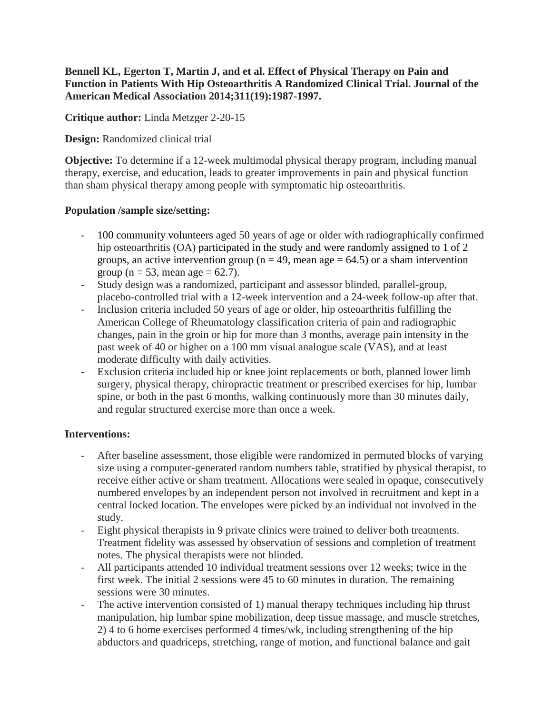## **Bennell KL, Egerton T, Martin J, and et al. Effect of Physical Therapy on Pain and Function in Patients With Hip Osteoarthritis A Randomized Clinical Trial. Journal of the American Medical Association 2014;311(19):1987-1997.**

**Critique author:** Linda Metzger 2-20-15

**Design:** Randomized clinical trial

**Objective:** To determine if a 12-week multimodal physical therapy program, including manual therapy, exercise, and education, leads to greater improvements in pain and physical function than sham physical therapy among people with symptomatic hip osteoarthritis.

## **Population /sample size/setting:**

- 100 community volunteers aged 50 years of age or older with radiographically confirmed hip osteoarthritis (OA) participated in the study and were randomly assigned to 1 of 2 groups, an active intervention group ( $n = 49$ , mean age = 64.5) or a sham intervention group ( $n = 53$ , mean age = 62.7).
- Study design was a randomized, participant and assessor blinded, parallel-group, placebo-controlled trial with a 12-week intervention and a 24-week follow-up after that.
- Inclusion criteria included 50 years of age or older, hip osteoarthritis fulfilling the American College of Rheumatology classification criteria of pain and radiographic changes, pain in the groin or hip for more than 3 months, average pain intensity in the past week of 40 or higher on a 100 mm visual analogue scale (VAS), and at least moderate difficulty with daily activities.
- Exclusion criteria included hip or knee joint replacements or both, planned lower limb surgery, physical therapy, chiropractic treatment or prescribed exercises for hip, lumbar spine, or both in the past 6 months, walking continuously more than 30 minutes daily, and regular structured exercise more than once a week.

# **Interventions:**

- After baseline assessment, those eligible were randomized in permuted blocks of varying size using a computer-generated random numbers table, stratified by physical therapist, to receive either active or sham treatment. Allocations were sealed in opaque, consecutively numbered envelopes by an independent person not involved in recruitment and kept in a central locked location. The envelopes were picked by an individual not involved in the study.
- Eight physical therapists in 9 private clinics were trained to deliver both treatments. Treatment fidelity was assessed by observation of sessions and completion of treatment notes. The physical therapists were not blinded.
- All participants attended 10 individual treatment sessions over 12 weeks; twice in the first week. The initial 2 sessions were 45 to 60 minutes in duration. The remaining sessions were 30 minutes.
- The active intervention consisted of 1) manual therapy techniques including hip thrust manipulation, hip lumbar spine mobilization, deep tissue massage, and muscle stretches, 2) 4 to 6 home exercises performed 4 times/wk, including strengthening of the hip abductors and quadriceps, stretching, range of motion, and functional balance and gait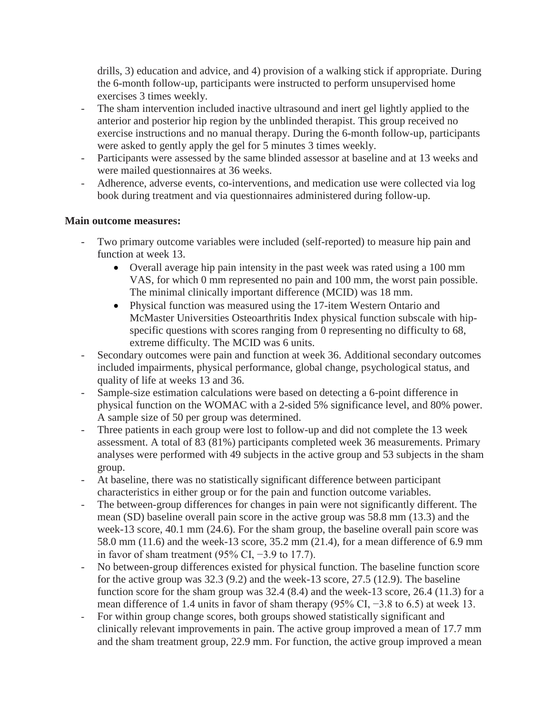drills, 3) education and advice, and 4) provision of a walking stick if appropriate. During the 6-month follow-up, participants were instructed to perform unsupervised home exercises 3 times weekly.

- The sham intervention included inactive ultrasound and inert gel lightly applied to the anterior and posterior hip region by the unblinded therapist. This group received no exercise instructions and no manual therapy. During the 6-month follow-up, participants were asked to gently apply the gel for 5 minutes 3 times weekly.
- Participants were assessed by the same blinded assessor at baseline and at 13 weeks and were mailed questionnaires at 36 weeks.
- Adherence, adverse events, co-interventions, and medication use were collected via log book during treatment and via questionnaires administered during follow-up.

## **Main outcome measures:**

- Two primary outcome variables were included (self-reported) to measure hip pain and function at week 13.
	- Overall average hip pain intensity in the past week was rated using a 100 mm VAS, for which 0 mm represented no pain and 100 mm, the worst pain possible. The minimal clinically important difference (MCID) was 18 mm.
	- Physical function was measured using the 17-item Western Ontario and McMaster Universities Osteoarthritis Index physical function subscale with hipspecific questions with scores ranging from 0 representing no difficulty to 68, extreme difficulty. The MCID was 6 units.
- Secondary outcomes were pain and function at week 36. Additional secondary outcomes included impairments, physical performance, global change, psychological status, and quality of life at weeks 13 and 36.
- Sample-size estimation calculations were based on detecting a 6-point difference in physical function on the WOMAC with a 2-sided 5% significance level, and 80% power. A sample size of 50 per group was determined.
- Three patients in each group were lost to follow-up and did not complete the 13 week assessment. A total of 83 (81%) participants completed week 36 measurements. Primary analyses were performed with 49 subjects in the active group and 53 subjects in the sham group.
- At baseline, there was no statistically significant difference between participant characteristics in either group or for the pain and function outcome variables.
- The between-group differences for changes in pain were not significantly different. The mean (SD) baseline overall pain score in the active group was 58.8 mm (13.3) and the week-13 score, 40.1 mm (24.6). For the sham group, the baseline overall pain score was 58.0 mm (11.6) and the week-13 score, 35.2 mm (21.4), for a mean difference of 6.9 mm in favor of sham treatment (95% CI, −3.9 to 17.7).
- No between-group differences existed for physical function. The baseline function score for the active group was 32.3 (9.2) and the week-13 score, 27.5 (12.9). The baseline function score for the sham group was 32.4 (8.4) and the week-13 score, 26.4 (11.3) for a mean difference of 1.4 units in favor of sham therapy (95% CI, −3.8 to 6.5) at week 13.
- For within group change scores, both groups showed statistically significant and clinically relevant improvements in pain. The active group improved a mean of 17.7 mm and the sham treatment group, 22.9 mm. For function, the active group improved a mean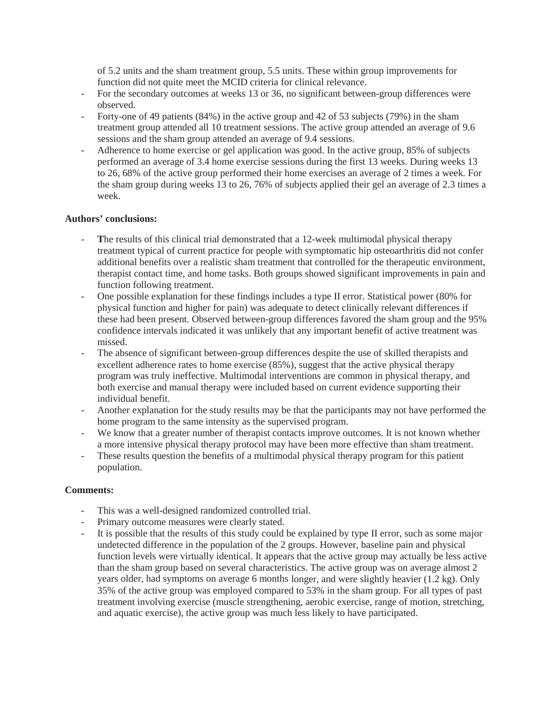of 5.2 units and the sham treatment group, 5.5 units. These within group improvements for function did not quite meet the MCID criteria for clinical relevance.

- For the secondary outcomes at weeks 13 or 36, no significant between-group differences were observed.
- Forty-one of 49 patients (84%) in the active group and 42 of 53 subjects (79%) in the sham treatment group attended all 10 treatment sessions. The active group attended an average of 9.6 sessions and the sham group attended an average of 9.4 sessions.
- Adherence to home exercise or gel application was good. In the active group, 85% of subjects performed an average of 3.4 home exercise sessions during the first 13 weeks. During weeks 13 to 26, 68% of the active group performed their home exercises an average of 2 times a week. For the sham group during weeks 13 to 26, 76% of subjects applied their gel an average of 2.3 times a week.

#### **Authors' conclusions:**

- The results of this clinical trial demonstrated that a 12-week multimodal physical therapy treatment typical of current practice for people with symptomatic hip osteoarthritis did not confer additional benefits over a realistic sham treatment that controlled for the therapeutic environment, therapist contact time, and home tasks. Both groups showed significant improvements in pain and function following treatment.
- One possible explanation for these findings includes a type II error. Statistical power (80% for physical function and higher for pain) was adequate to detect clinically relevant differences if these had been present. Observed between-group differences favored the sham group and the 95% confidence intervals indicated it was unlikely that any important benefit of active treatment was missed.
- The absence of significant between-group differences despite the use of skilled therapists and excellent adherence rates to home exercise (85%), suggest that the active physical therapy program was truly ineffective. Multimodal interventions are common in physical therapy, and both exercise and manual therapy were included based on current evidence supporting their individual benefit.
- Another explanation for the study results may be that the participants may not have performed the home program to the same intensity as the supervised program.
- We know that a greater number of therapist contacts improve outcomes. It is not known whether a more intensive physical therapy protocol may have been more effective than sham treatment.
- These results question the benefits of a multimodal physical therapy program for this patient population.

#### **Comments:**

- This was a well-designed randomized controlled trial.
- Primary outcome measures were clearly stated.
- It is possible that the results of this study could be explained by type II error, such as some major undetected difference in the population of the 2 groups. However, baseline pain and physical function levels were virtually identical. It appears that the active group may actually be less active than the sham group based on several characteristics. The active group was on average almost 2 years older, had symptoms on average 6 months longer, and were slightly heavier (1.2 kg). Only 35% of the active group was employed compared to 53% in the sham group. For all types of past treatment involving exercise (muscle strengthening, aerobic exercise, range of motion, stretching, and aquatic exercise), the active group was much less likely to have participated.